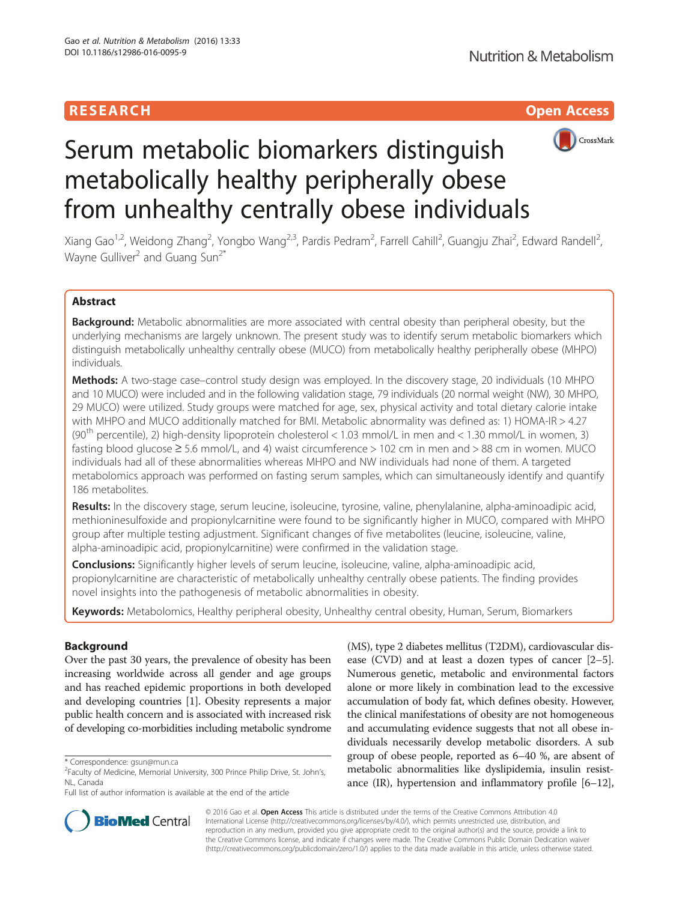



# Serum metabolic biomarkers distinguish metabolically healthy peripherally obese from unhealthy centrally obese individuals

Xiang Gao<sup>1,2</sup>, Weidong Zhang<sup>2</sup>, Yongbo Wang<sup>2,3</sup>, Pardis Pedram<sup>2</sup>, Farrell Cahill<sup>2</sup>, Guangju Zhai<sup>2</sup>, Edward Randell<sup>2</sup> , Wayne Gulliver<sup>2</sup> and Guang Sun<sup>2\*</sup>

# Abstract

Background: Metabolic abnormalities are more associated with central obesity than peripheral obesity, but the underlying mechanisms are largely unknown. The present study was to identify serum metabolic biomarkers which distinguish metabolically unhealthy centrally obese (MUCO) from metabolically healthy peripherally obese (MHPO) individuals.

Methods: A two-stage case–control study design was employed. In the discovery stage, 20 individuals (10 MHPO and 10 MUCO) were included and in the following validation stage, 79 individuals (20 normal weight (NW), 30 MHPO, 29 MUCO) were utilized. Study groups were matched for age, sex, physical activity and total dietary calorie intake with MHPO and MUCO additionally matched for BMI. Metabolic abnormality was defined as: 1) HOMA-IR > 4.27 (90<sup>th</sup> percentile), 2) high-density lipoprotein cholesterol < 1.03 mmol/L in men and < 1.30 mmol/L in women, 3) fasting blood glucose  $\geq 5.6$  mmol/L, and 4) waist circumference  $> 102$  cm in men and  $> 88$  cm in women. MUCO individuals had all of these abnormalities whereas MHPO and NW individuals had none of them. A targeted metabolomics approach was performed on fasting serum samples, which can simultaneously identify and quantify 186 metabolites.

Results: In the discovery stage, serum leucine, isoleucine, tyrosine, valine, phenylalanine, alpha-aminoadipic acid, methioninesulfoxide and propionylcarnitine were found to be significantly higher in MUCO, compared with MHPO group after multiple testing adjustment. Significant changes of five metabolites (leucine, isoleucine, valine, alpha-aminoadipic acid, propionylcarnitine) were confirmed in the validation stage.

Conclusions: Significantly higher levels of serum leucine, isoleucine, valine, alpha-aminoadipic acid, propionylcarnitine are characteristic of metabolically unhealthy centrally obese patients. The finding provides novel insights into the pathogenesis of metabolic abnormalities in obesity.

Keywords: Metabolomics, Healthy peripheral obesity, Unhealthy central obesity, Human, Serum, Biomarkers

# Background

Over the past 30 years, the prevalence of obesity has been increasing worldwide across all gender and age groups and has reached epidemic proportions in both developed and developing countries [\[1](#page-8-0)]. Obesity represents a major public health concern and is associated with increased risk of developing co-morbidities including metabolic syndrome

(MS), type 2 diabetes mellitus (T2DM), cardiovascular disease (CVD) and at least a dozen types of cancer [[2](#page-8-0)–[5](#page-8-0)]. Numerous genetic, metabolic and environmental factors alone or more likely in combination lead to the excessive accumulation of body fat, which defines obesity. However, the clinical manifestations of obesity are not homogeneous and accumulating evidence suggests that not all obese individuals necessarily develop metabolic disorders. A sub group of obese people, reported as 6–40 %, are absent of metabolic abnormalities like dyslipidemia, insulin resistance (IR), hypertension and inflammatory profile [\[6](#page-8-0)–[12](#page-8-0)],



© 2016 Gao et al. Open Access This article is distributed under the terms of the Creative Commons Attribution 4.0 International License [\(http://creativecommons.org/licenses/by/4.0/](http://creativecommons.org/licenses/by/4.0/)), which permits unrestricted use, distribution, and reproduction in any medium, provided you give appropriate credit to the original author(s) and the source, provide a link to the Creative Commons license, and indicate if changes were made. The Creative Commons Public Domain Dedication waiver [\(http://creativecommons.org/publicdomain/zero/1.0/](http://creativecommons.org/publicdomain/zero/1.0/)) applies to the data made available in this article, unless otherwise stated.

<sup>\*</sup> Correspondence: [gsun@mun.ca](mailto:gsun@mun.ca) <sup>2</sup>

Faculty of Medicine, Memorial University, 300 Prince Philip Drive, St. John's, NL, Canada

Full list of author information is available at the end of the article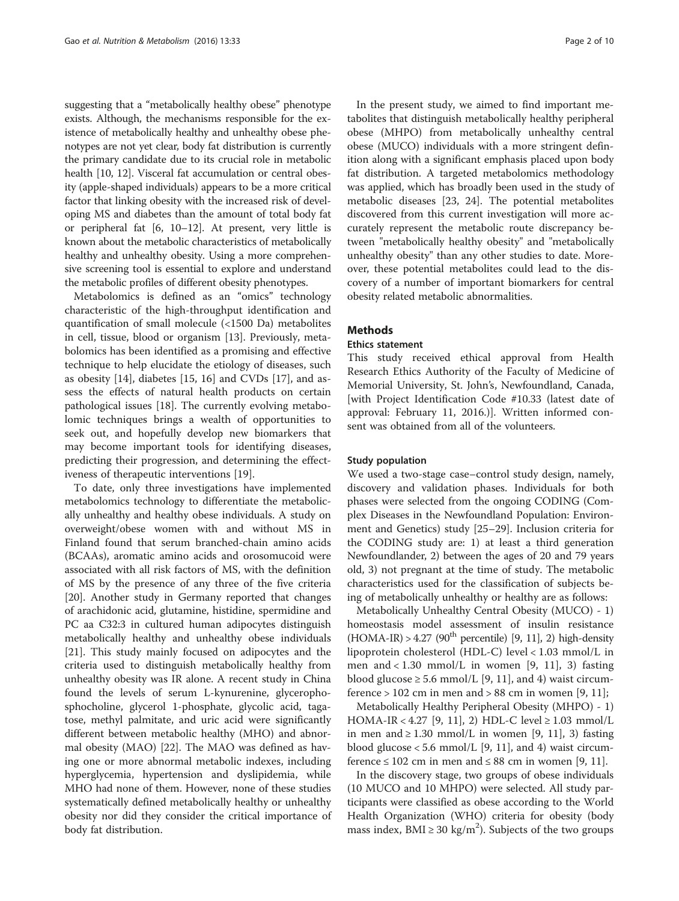suggesting that a "metabolically healthy obese" phenotype exists. Although, the mechanisms responsible for the existence of metabolically healthy and unhealthy obese phenotypes are not yet clear, body fat distribution is currently the primary candidate due to its crucial role in metabolic health [[10](#page-8-0), [12](#page-8-0)]. Visceral fat accumulation or central obesity (apple-shaped individuals) appears to be a more critical factor that linking obesity with the increased risk of developing MS and diabetes than the amount of total body fat or peripheral fat [\[6](#page-8-0), [10](#page-8-0)–[12](#page-8-0)]. At present, very little is known about the metabolic characteristics of metabolically healthy and unhealthy obesity. Using a more comprehensive screening tool is essential to explore and understand the metabolic profiles of different obesity phenotypes.

Metabolomics is defined as an "omics" technology characteristic of the high-throughput identification and quantification of small molecule (<1500 Da) metabolites in cell, tissue, blood or organism [\[13](#page-8-0)]. Previously, metabolomics has been identified as a promising and effective technique to help elucidate the etiology of diseases, such as obesity [\[14\]](#page-8-0), diabetes [\[15, 16](#page-8-0)] and CVDs [[17\]](#page-8-0), and assess the effects of natural health products on certain pathological issues [\[18\]](#page-8-0). The currently evolving metabolomic techniques brings a wealth of opportunities to seek out, and hopefully develop new biomarkers that may become important tools for identifying diseases, predicting their progression, and determining the effectiveness of therapeutic interventions [\[19](#page-8-0)].

To date, only three investigations have implemented metabolomics technology to differentiate the metabolically unhealthy and healthy obese individuals. A study on overweight/obese women with and without MS in Finland found that serum branched-chain amino acids (BCAAs), aromatic amino acids and orosomucoid were associated with all risk factors of MS, with the definition of MS by the presence of any three of the five criteria [[20\]](#page-8-0). Another study in Germany reported that changes of arachidonic acid, glutamine, histidine, spermidine and PC aa C32:3 in cultured human adipocytes distinguish metabolically healthy and unhealthy obese individuals [[21\]](#page-8-0). This study mainly focused on adipocytes and the criteria used to distinguish metabolically healthy from unhealthy obesity was IR alone. A recent study in China found the levels of serum L-kynurenine, glycerophosphocholine, glycerol 1-phosphate, glycolic acid, tagatose, methyl palmitate, and uric acid were significantly different between metabolic healthy (MHO) and abnormal obesity (MAO) [[22\]](#page-8-0). The MAO was defined as having one or more abnormal metabolic indexes, including hyperglycemia, hypertension and dyslipidemia, while MHO had none of them. However, none of these studies systematically defined metabolically healthy or unhealthy obesity nor did they consider the critical importance of body fat distribution.

In the present study, we aimed to find important metabolites that distinguish metabolically healthy peripheral obese (MHPO) from metabolically unhealthy central obese (MUCO) individuals with a more stringent definition along with a significant emphasis placed upon body fat distribution. A targeted metabolomics methodology was applied, which has broadly been used in the study of metabolic diseases [[23, 24](#page-8-0)]. The potential metabolites discovered from this current investigation will more accurately represent the metabolic route discrepancy between "metabolically healthy obesity" and "metabolically unhealthy obesity" than any other studies to date. Moreover, these potential metabolites could lead to the discovery of a number of important biomarkers for central obesity related metabolic abnormalities.

### **Methods**

#### Ethics statement

This study received ethical approval from Health Research Ethics Authority of the Faculty of Medicine of Memorial University, St. John's, Newfoundland, Canada, [with Project Identification Code #10.33 (latest date of approval: February 11, 2016.)]. Written informed consent was obtained from all of the volunteers.

#### Study population

We used a two-stage case–control study design, namely, discovery and validation phases. Individuals for both phases were selected from the ongoing CODING (Complex Diseases in the Newfoundland Population: Environment and Genetics) study [[25](#page-8-0)–[29](#page-8-0)]. Inclusion criteria for the CODING study are: 1) at least a third generation Newfoundlander, 2) between the ages of 20 and 79 years old, 3) not pregnant at the time of study. The metabolic characteristics used for the classification of subjects being of metabolically unhealthy or healthy are as follows:

Metabolically Unhealthy Central Obesity (MUCO) - 1) homeostasis model assessment of insulin resistance  $(HOMA-IR) > 4.27$  ([9](#page-8-0)0<sup>th</sup> percentile) [9, [11\]](#page-8-0), 2) high-density lipoprotein cholesterol (HDL-C) level < 1.03 mmol/L in men and  $< 1.30$  mmol/L in women [\[9](#page-8-0), [11](#page-8-0)], 3) fasting blood glucose  $\geq 5.6$  mmol/L [\[9, 11](#page-8-0)], and 4) waist circumference  $> 102$  cm in men and  $> 88$  cm in women [[9, 11\]](#page-8-0);

Metabolically Healthy Peripheral Obesity (MHPO) - 1) HOMA-IR < 4.27 [[9, 11](#page-8-0)], 2) HDL-C level ≥ 1.03 mmol/L in men and ≥ 1.30 mmol/L in women [[9, 11](#page-8-0)], 3) fasting blood glucose  $< 5.6$  mmol/L [[9, 11\]](#page-8-0), and 4) waist circum-ference ≤ 102 cm in men and ≤ 88 cm in women [\[9](#page-8-0), [11](#page-8-0)].

In the discovery stage, two groups of obese individuals (10 MUCO and 10 MHPO) were selected. All study participants were classified as obese according to the World Health Organization (WHO) criteria for obesity (body mass index,  $BMI \ge 30 \text{ kg/m}^2$ ). Subjects of the two groups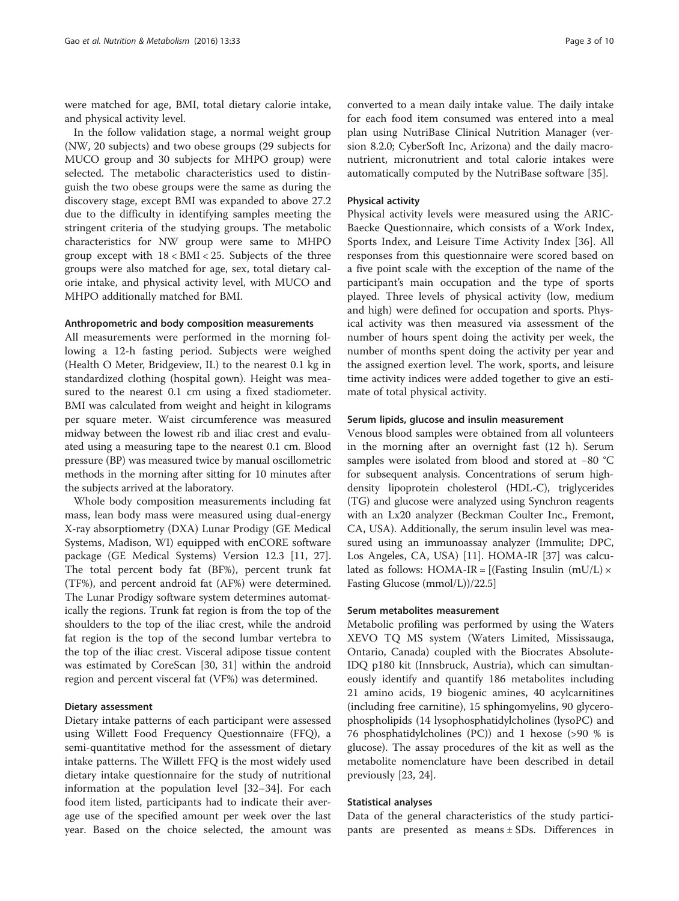were matched for age, BMI, total dietary calorie intake, and physical activity level.

In the follow validation stage, a normal weight group (NW, 20 subjects) and two obese groups (29 subjects for MUCO group and 30 subjects for MHPO group) were selected. The metabolic characteristics used to distinguish the two obese groups were the same as during the discovery stage, except BMI was expanded to above 27.2 due to the difficulty in identifying samples meeting the stringent criteria of the studying groups. The metabolic characteristics for NW group were same to MHPO group except with  $18 < BMI < 25$ . Subjects of the three groups were also matched for age, sex, total dietary calorie intake, and physical activity level, with MUCO and MHPO additionally matched for BMI.

#### Anthropometric and body composition measurements

All measurements were performed in the morning following a 12-h fasting period. Subjects were weighed (Health O Meter, Bridgeview, IL) to the nearest 0.1 kg in standardized clothing (hospital gown). Height was measured to the nearest 0.1 cm using a fixed stadiometer. BMI was calculated from weight and height in kilograms per square meter. Waist circumference was measured midway between the lowest rib and iliac crest and evaluated using a measuring tape to the nearest 0.1 cm. Blood pressure (BP) was measured twice by manual oscillometric methods in the morning after sitting for 10 minutes after the subjects arrived at the laboratory.

Whole body composition measurements including fat mass, lean body mass were measured using dual-energy X-ray absorptiometry (DXA) Lunar Prodigy (GE Medical Systems, Madison, WI) equipped with enCORE software package (GE Medical Systems) Version 12.3 [[11, 27](#page-8-0)]. The total percent body fat (BF%), percent trunk fat (TF%), and percent android fat (AF%) were determined. The Lunar Prodigy software system determines automatically the regions. Trunk fat region is from the top of the shoulders to the top of the iliac crest, while the android fat region is the top of the second lumbar vertebra to the top of the iliac crest. Visceral adipose tissue content was estimated by CoreScan [\[30, 31\]](#page-8-0) within the android region and percent visceral fat (VF%) was determined.

### Dietary assessment

Dietary intake patterns of each participant were assessed using Willett Food Frequency Questionnaire (FFQ), a semi-quantitative method for the assessment of dietary intake patterns. The Willett FFQ is the most widely used dietary intake questionnaire for the study of nutritional information at the population level [\[32](#page-9-0)–[34\]](#page-9-0). For each food item listed, participants had to indicate their average use of the specified amount per week over the last year. Based on the choice selected, the amount was converted to a mean daily intake value. The daily intake for each food item consumed was entered into a meal plan using NutriBase Clinical Nutrition Manager (version 8.2.0; CyberSoft Inc, Arizona) and the daily macronutrient, micronutrient and total calorie intakes were automatically computed by the NutriBase software [[35](#page-9-0)].

#### Physical activity

Physical activity levels were measured using the ARIC-Baecke Questionnaire, which consists of a Work Index, Sports Index, and Leisure Time Activity Index [\[36](#page-9-0)]. All responses from this questionnaire were scored based on a five point scale with the exception of the name of the participant's main occupation and the type of sports played. Three levels of physical activity (low, medium and high) were defined for occupation and sports. Physical activity was then measured via assessment of the number of hours spent doing the activity per week, the number of months spent doing the activity per year and the assigned exertion level. The work, sports, and leisure time activity indices were added together to give an estimate of total physical activity.

#### Serum lipids, glucose and insulin measurement

Venous blood samples were obtained from all volunteers in the morning after an overnight fast (12 h). Serum samples were isolated from blood and stored at −80 °C for subsequent analysis. Concentrations of serum highdensity lipoprotein cholesterol (HDL-C), triglycerides (TG) and glucose were analyzed using Synchron reagents with an Lx20 analyzer (Beckman Coulter Inc., Fremont, CA, USA). Additionally, the serum insulin level was measured using an immunoassay analyzer (Immulite; DPC, Los Angeles, CA, USA) [\[11](#page-8-0)]. HOMA-IR [\[37\]](#page-9-0) was calculated as follows: HOMA-IR =  $[(Fasting Insulin (mU/L) \times$ Fasting Glucose (mmol/L))/22.5]

## Serum metabolites measurement

Metabolic profiling was performed by using the Waters XEVO TQ MS system (Waters Limited, Mississauga, Ontario, Canada) coupled with the Biocrates Absolute-IDQ p180 kit (Innsbruck, Austria), which can simultaneously identify and quantify 186 metabolites including 21 amino acids, 19 biogenic amines, 40 acylcarnitines (including free carnitine), 15 sphingomyelins, 90 glycerophospholipids (14 lysophosphatidylcholines (lysoPC) and 76 phosphatidylcholines (PC)) and 1 hexose (>90 % is glucose). The assay procedures of the kit as well as the metabolite nomenclature have been described in detail previously [\[23](#page-8-0), [24](#page-8-0)].

#### Statistical analyses

Data of the general characteristics of the study participants are presented as means ± SDs. Differences in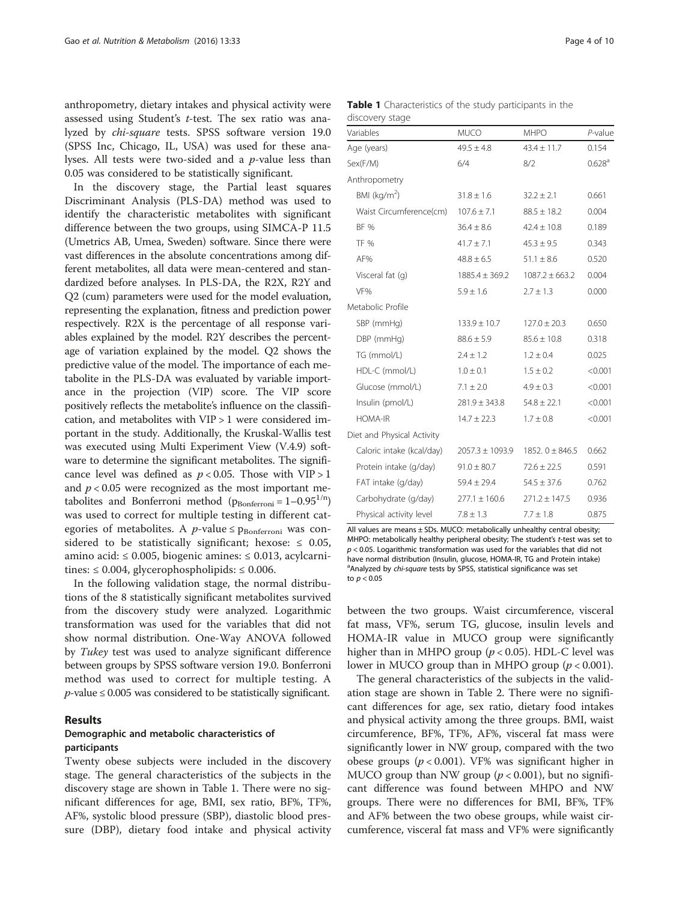anthropometry, dietary intakes and physical activity were assessed using Student's t-test. The sex ratio was analyzed by chi-square tests. SPSS software version 19.0 (SPSS Inc, Chicago, IL, USA) was used for these analyses. All tests were two-sided and a p-value less than 0.05 was considered to be statistically significant.

In the discovery stage, the Partial least squares Discriminant Analysis (PLS-DA) method was used to identify the characteristic metabolites with significant difference between the two groups, using SIMCA-P 11.5 (Umetrics AB, Umea, Sweden) software. Since there were vast differences in the absolute concentrations among different metabolites, all data were mean-centered and standardized before analyses. In PLS-DA, the R2X, R2Y and Q2 (cum) parameters were used for the model evaluation, representing the explanation, fitness and prediction power respectively. R2X is the percentage of all response variables explained by the model. R2Y describes the percentage of variation explained by the model. Q2 shows the predictive value of the model. The importance of each metabolite in the PLS-DA was evaluated by variable importance in the projection (VIP) score. The VIP score positively reflects the metabolite's influence on the classification, and metabolites with VIP > 1 were considered important in the study. Additionally, the Kruskal-Wallis test was executed using Multi Experiment View (V.4.9) software to determine the significant metabolites. The significance level was defined as  $p < 0.05$ . Those with VIP > 1 and  $p < 0.05$  were recognized as the most important metabolites and Bonferroni method ( $p_{\text{Bonferroni}} = 1 - 0.95^{1/n}$ ) was used to correct for multiple testing in different categories of metabolites. A *p*-value  $\leq$  p<sub>Bonferroni</sub> was considered to be statistically significant; hexose:  $\leq 0.05$ , amino acid: ≤ 0.005, biogenic amines: ≤ 0.013, acylcarnitines:  $\leq 0.004$ , glycerophospholipids:  $\leq 0.006$ .

In the following validation stage, the normal distributions of the 8 statistically significant metabolites survived from the discovery study were analyzed. Logarithmic transformation was used for the variables that did not show normal distribution. One-Way ANOVA followed by Tukey test was used to analyze significant difference between groups by SPSS software version 19.0. Bonferroni method was used to correct for multiple testing. A  $p$ -value  $\leq$  0.005 was considered to be statistically significant.

### Results

# Demographic and metabolic characteristics of participants

Twenty obese subjects were included in the discovery stage. The general characteristics of the subjects in the discovery stage are shown in Table 1. There were no significant differences for age, BMI, sex ratio, BF%, TF%, AF%, systolic blood pressure (SBP), diastolic blood pressure (DBP), dietary food intake and physical activity

|                 | Table 1 Characteristics of the study participants in the |  |  |  |
|-----------------|----------------------------------------------------------|--|--|--|
| discovery stage |                                                          |  |  |  |

| Variables                  | <b>MUCO</b>         | <b>MHPO</b>         | $P$ -value         |
|----------------------------|---------------------|---------------------|--------------------|
| Age (years)                | $49.5 \pm 4.8$      | $43.4 \pm 11.7$     | 0.154              |
| Sex(F/M)                   | 6/4                 | 8/2                 | 0.628 <sup>a</sup> |
| Anthropometry              |                     |                     |                    |
| BMI ( $kg/m2$ )            | $31.8 \pm 1.6$      | $32.2 \pm 2.1$      | 0.661              |
| Waist Circumference(cm)    | $107.6 \pm 7.1$     | $88.5 \pm 18.2$     | 0.004              |
| <b>BF %</b>                | $36.4 \pm 8.6$      | $42.4 \pm 10.8$     | 0.189              |
| <b>TF %</b>                | $41.7 \pm 7.1$      | $45.3 \pm 9.5$      | 0.343              |
| AF%                        | $48.8 \pm 6.5$      | $51.1 \pm 8.6$      | 0.520              |
| Visceral fat (q)           | $1885.4 \pm 369.2$  | $1087.2 \pm 663.2$  | 0.004              |
| VF%                        | $5.9 \pm 1.6$       | $2.7 \pm 1.3$       | 0.000              |
| Metabolic Profile          |                     |                     |                    |
| SBP (mmHg)                 | $133.9 \pm 10.7$    | $127.0 \pm 20.3$    | 0.650              |
| DBP (mmHg)                 | $88.6 \pm 5.9$      | $85.6 \pm 10.8$     | 0.318              |
| TG (mmol/L)                | $2.4 \pm 1.2$       | $1.2 \pm 0.4$       | 0.025              |
| HDL-C (mmol/L)             | $1.0 \pm 0.1$       | $1.5 \pm 0.2$       | < 0.001            |
| Glucose (mmol/L)           | $7.1 \pm 2.0$       | $4.9 \pm 0.3$       | < 0.001            |
| Insulin (pmol/L)           | $281.9 \pm 343.8$   | $54.8 \pm 22.1$     | < 0.001            |
| <b>HOMA-IR</b>             | $14.7 \pm 22.3$     | $1.7 \pm 0.8$       | < 0.001            |
| Diet and Physical Activity |                     |                     |                    |
| Caloric intake (kcal/day)  | $2057.3 \pm 1093.9$ | 1852. $0 \pm 846.5$ | 0.662              |
| Protein intake (g/day)     | $91.0 \pm 80.7$     | $72.6 \pm 22.5$     | 0.591              |
| FAT intake (g/day)         | $59.4 \pm 29.4$     | $54.5 \pm 37.6$     | 0.762              |
| Carbohydrate (g/day)       | $277.1 \pm 160.6$   | $271.2 \pm 147.5$   | 0.936              |
| Physical activity level    | $7.8 \pm 1.3$       | $7.7 \pm 1.8$       | 0.875              |

All values are means ± SDs. MUCO: metabolically unhealthy central obesity; MHPO: metabolically healthy peripheral obesity; The student's t-test was set to  $p < 0.05$ . Logarithmic transformation was used for the variables that did not have normal distribution (Insulin, glucose, HOMA-IR, TG and Protein intake) <sup>a</sup> Analyzed by chi-square tests by SPSS, statistical significance was set to  $p < 0.05$ 

between the two groups. Waist circumference, visceral fat mass, VF%, serum TG, glucose, insulin levels and HOMA-IR value in MUCO group were significantly higher than in MHPO group ( $p < 0.05$ ). HDL-C level was lower in MUCO group than in MHPO group ( $p < 0.001$ ).

The general characteristics of the subjects in the validation stage are shown in Table [2.](#page-4-0) There were no significant differences for age, sex ratio, dietary food intakes and physical activity among the three groups. BMI, waist circumference, BF%, TF%, AF%, visceral fat mass were significantly lower in NW group, compared with the two obese groups ( $p < 0.001$ ). VF% was significant higher in MUCO group than NW group ( $p < 0.001$ ), but no significant difference was found between MHPO and NW groups. There were no differences for BMI, BF%, TF% and AF% between the two obese groups, while waist circumference, visceral fat mass and VF% were significantly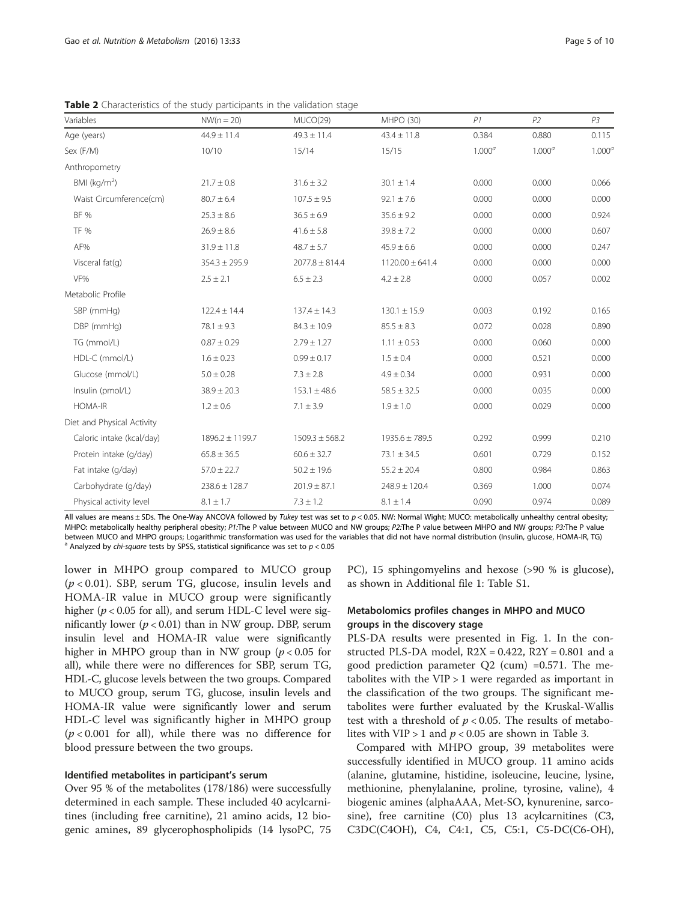| Variables                  | $NW(n = 20)$        | MUCO(29)           | MHPO (30)           | P1        | P <sub>2</sub> | P <sub>3</sub>     |
|----------------------------|---------------------|--------------------|---------------------|-----------|----------------|--------------------|
| Age (years)                | $44.9 \pm 11.4$     | $49.3 \pm 11.4$    | $43.4 \pm 11.8$     | 0.384     | 0.880          | 0.115              |
| Sex (F/M)                  | 10/10               | 15/14              | 15/15               | $1.000^a$ | $1.000^a$      | 1.000 <sup>a</sup> |
| Anthropometry              |                     |                    |                     |           |                |                    |
| BMI ( $\text{kg/m}^2$ )    | $21.7 \pm 0.8$      | $31.6 \pm 3.2$     | $30.1 \pm 1.4$      | 0.000     | 0.000          | 0.066              |
| Waist Circumference(cm)    | $80.7 \pm 6.4$      | $107.5 \pm 9.5$    | $92.1 \pm 7.6$      | 0.000     | 0.000          | 0.000              |
| <b>BF %</b>                | $25.3 \pm 8.6$      | $36.5 \pm 6.9$     | $35.6 \pm 9.2$      | 0.000     | 0.000          | 0.924              |
| <b>TF %</b>                | $26.9 \pm 8.6$      | $41.6 \pm 5.8$     | $39.8 \pm 7.2$      | 0.000     | 0.000          | 0.607              |
| AF%                        | $31.9 \pm 11.8$     | $48.7 \pm 5.7$     | $45.9 \pm 6.6$      | 0.000     | 0.000          | 0.247              |
| Visceral $fat(q)$          | $354.3 \pm 295.9$   | $2077.8 \pm 814.4$ | $1120.00 \pm 641.4$ | 0.000     | 0.000          | 0.000              |
| VF%                        | $2.5 \pm 2.1$       | $6.5 \pm 2.3$      | $4.2 \pm 2.8$       | 0.000     | 0.057          | 0.002              |
| Metabolic Profile          |                     |                    |                     |           |                |                    |
| SBP (mmHg)                 | $122.4 \pm 14.4$    | $137.4 \pm 14.3$   | $130.1 \pm 15.9$    | 0.003     | 0.192          | 0.165              |
| DBP (mmHg)                 | $78.1 \pm 9.3$      | $84.3 \pm 10.9$    | $85.5 \pm 8.3$      | 0.072     | 0.028          | 0.890              |
| TG (mmol/L)                | $0.87 \pm 0.29$     | $2.79 \pm 1.27$    | $1.11 \pm 0.53$     | 0.000     | 0.060          | 0.000              |
| HDL-C (mmol/L)             | $1.6 \pm 0.23$      | $0.99 \pm 0.17$    | $1.5 \pm 0.4$       | 0.000     | 0.521          | 0.000              |
| Glucose (mmol/L)           | $5.0 \pm 0.28$      | $7.3 \pm 2.8$      | $4.9 \pm 0.34$      | 0.000     | 0.931          | 0.000              |
| Insulin (pmol/L)           | $38.9 \pm 20.3$     | $153.1 \pm 48.6$   | $58.5 \pm 32.5$     | 0.000     | 0.035          | 0.000              |
| <b>HOMA-IR</b>             | $1.2 \pm 0.6$       | $7.1 \pm 3.9$      | $1.9 \pm 1.0$       | 0.000     | 0.029          | 0.000              |
| Diet and Physical Activity |                     |                    |                     |           |                |                    |
| Caloric intake (kcal/day)  | $1896.2 \pm 1199.7$ | $1509.3 \pm 568.2$ | $1935.6 \pm 789.5$  | 0.292     | 0.999          | 0.210              |
| Protein intake (g/day)     | $65.8 \pm 36.5$     | $60.6 \pm 32.7$    | $73.1 \pm 34.5$     | 0.601     | 0.729          | 0.152              |
| Fat intake (g/day)         | $57.0 \pm 22.7$     | $50.2 \pm 19.6$    | $55.2 \pm 20.4$     | 0.800     | 0.984          | 0.863              |
| Carbohydrate (g/day)       | $238.6 \pm 128.7$   | $201.9 \pm 87.1$   | $248.9 \pm 120.4$   | 0.369     | 1.000          | 0.074              |
| Physical activity level    | $8.1 \pm 1.7$       | $7.3 \pm 1.2$      | $8.1 \pm 1.4$       | 0.090     | 0.974          | 0.089              |

<span id="page-4-0"></span>Table 2 Characteristics of the study participants in the validation stage

All values are means  $\pm$  SDs. The One-Way ANCOVA followed by Tukey test was set to  $p < 0.05$ . NW: Normal Wight: MUCO: metabolically unhealthy central obesity: MHPO: metabolically healthy peripheral obesity; P1:The P value between MUCO and NW groups; P2:The P value between MHPO and NW groups; P3:The P value between MUCO and MHPO groups; Logarithmic transformation was used for the variables that did not have normal distribution (Insulin, glucose, HOMA-IR, TG) analyzed by chi-square tests by SPSS, statistical significance was

lower in MHPO group compared to MUCO group  $(p < 0.01)$ . SBP, serum TG, glucose, insulin levels and HOMA-IR value in MUCO group were significantly higher ( $p < 0.05$  for all), and serum HDL-C level were significantly lower ( $p < 0.01$ ) than in NW group. DBP, serum insulin level and HOMA-IR value were significantly higher in MHPO group than in NW group ( $p < 0.05$  for all), while there were no differences for SBP, serum TG, HDL-C, glucose levels between the two groups. Compared to MUCO group, serum TG, glucose, insulin levels and HOMA-IR value were significantly lower and serum HDL-C level was significantly higher in MHPO group  $(p < 0.001$  for all), while there was no difference for blood pressure between the two groups.

#### Identified metabolites in participant's serum

Over 95 % of the metabolites (178/186) were successfully determined in each sample. These included 40 acylcarnitines (including free carnitine), 21 amino acids, 12 biogenic amines, 89 glycerophospholipids (14 lysoPC, 75

PC), 15 sphingomyelins and hexose (>90 % is glucose), as shown in Additional file [1:](#page-7-0) Table S1.

# Metabolomics profiles changes in MHPO and MUCO groups in the discovery stage

PLS-DA results were presented in Fig. [1](#page-5-0). In the constructed PLS-DA model,  $R2X = 0.422$ ,  $R2Y = 0.801$  and a good prediction parameter  $Q2$  (cum) =0.571. The metabolites with the VIP > 1 were regarded as important in the classification of the two groups. The significant metabolites were further evaluated by the Kruskal-Wallis test with a threshold of  $p < 0.05$ . The results of metabolites with VIP > 1 and  $p < 0.05$  are shown in Table [3.](#page-5-0)

Compared with MHPO group, 39 metabolites were successfully identified in MUCO group. 11 amino acids (alanine, glutamine, histidine, isoleucine, leucine, lysine, methionine, phenylalanine, proline, tyrosine, valine), 4 biogenic amines (alphaAAA, Met-SO, kynurenine, sarcosine), free carnitine (C0) plus 13 acylcarnitines (C3, C3DC(C4OH), C4, C4:1, C5, C5:1, C5-DC(C6-OH),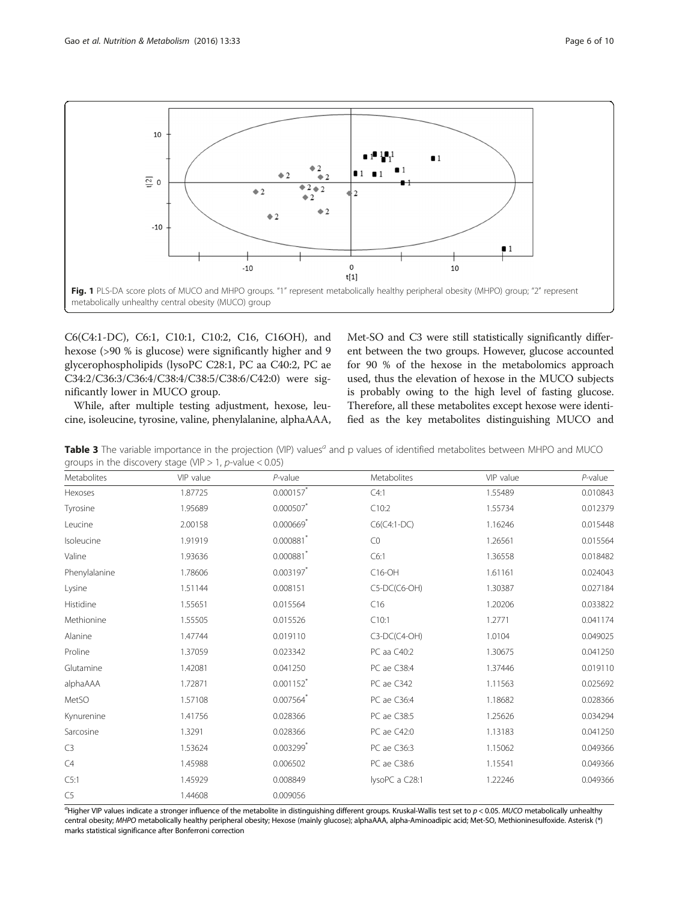<span id="page-5-0"></span>

C6(C4:1-DC), C6:1, C10:1, C10:2, C16, C16OH), and hexose (>90 % is glucose) were significantly higher and 9 glycerophospholipids (lysoPC C28:1, PC aa C40:2, PC ae C34:2/C36:3/C36:4/C38:4/C38:5/C38:6/C42:0) were significantly lower in MUCO group.

While, after multiple testing adjustment, hexose, leucine, isoleucine, tyrosine, valine, phenylalanine, alphaAAA, Met-SO and C3 were still statistically significantly different between the two groups. However, glucose accounted for 90 % of the hexose in the metabolomics approach used, thus the elevation of hexose in the MUCO subjects is probably owing to the high level of fasting glucose. Therefore, all these metabolites except hexose were identified as the key metabolites distinguishing MUCO and

Table 3 The variable importance in the projection (VIP) values<sup>a</sup> and p values of identified metabolites between MHPO and MUCO groups in the discovery stage (VIP  $> 1$ , p-value  $< 0.05$ )

| Metabolites    | VIP value | $P$ -value              | Metabolites    | VIP value | $P$ -value |
|----------------|-----------|-------------------------|----------------|-----------|------------|
| Hexoses        | 1.87725   | $0.000157$ *            | C4:1           | 1.55489   | 0.010843   |
| Tyrosine       | 1.95689   | 0.000507                | C10:2          | 1.55734   | 0.012379   |
| Leucine        | 2.00158   | 0.000669                | $C6(C4:1-DC)$  | 1.16246   | 0.015448   |
| Isoleucine     | 1.91919   | 0.000881                | CO             | 1.26561   | 0.015564   |
| Valine         | 1.93636   | 0.000881                | C6:1           | 1.36558   | 0.018482   |
| Phenylalanine  | 1.78606   | $0.003197$ *            | $C16$ -OH      | 1.61161   | 0.024043   |
| Lysine         | 1.51144   | 0.008151                | C5-DC(C6-OH)   | 1.30387   | 0.027184   |
| Histidine      | 1.55651   | 0.015564                | C16            | 1.20206   | 0.033822   |
| Methionine     | 1.55505   | 0.015526                | C10:1          | 1.2771    | 0.041174   |
| Alanine        | 1.47744   | 0.019110                | C3-DC(C4-OH)   | 1.0104    | 0.049025   |
| Proline        | 1.37059   | 0.023342                | PC aa C40:2    | 1.30675   | 0.041250   |
| Glutamine      | 1.42081   | 0.041250                | PC ae C38:4    | 1.37446   | 0.019110   |
| alphaAAA       | 1.72871   | $0.001152$ <sup>*</sup> | PC ae C342     | 1.11563   | 0.025692   |
| MetSO          | 1.57108   | 0.007564                | PC ae C36:4    | 1.18682   | 0.028366   |
| Kynurenine     | 1.41756   | 0.028366                | PC ae C38:5    | 1.25626   | 0.034294   |
| Sarcosine      | 1.3291    | 0.028366                | PC ae C42:0    | 1.13183   | 0.041250   |
| C <sub>3</sub> | 1.53624   | 0.003299                | PC ae C36:3    | 1.15062   | 0.049366   |
| C4             | 1.45988   | 0.006502                | PC ae C38:6    | 1.15541   | 0.049366   |
| C5:1           | 1.45929   | 0.008849                | lysoPC a C28:1 | 1.22246   | 0.049366   |
| C <sub>5</sub> | 1.44608   | 0.009056                |                |           |            |

"Higher VIP values indicate a stronger influence of the metabolite in distinguishing different groups. Kruskal-Wallis test set to  $p < 0.05$ . MUCO metabolically unhealthy central obesity; MHPO metabolically healthy peripheral obesity; Hexose (mainly glucose); alphaAAA, alpha-Aminoadipic acid; Met-SO, Methioninesulfoxide. Asterisk (\*) marks statistical significance after Bonferroni correction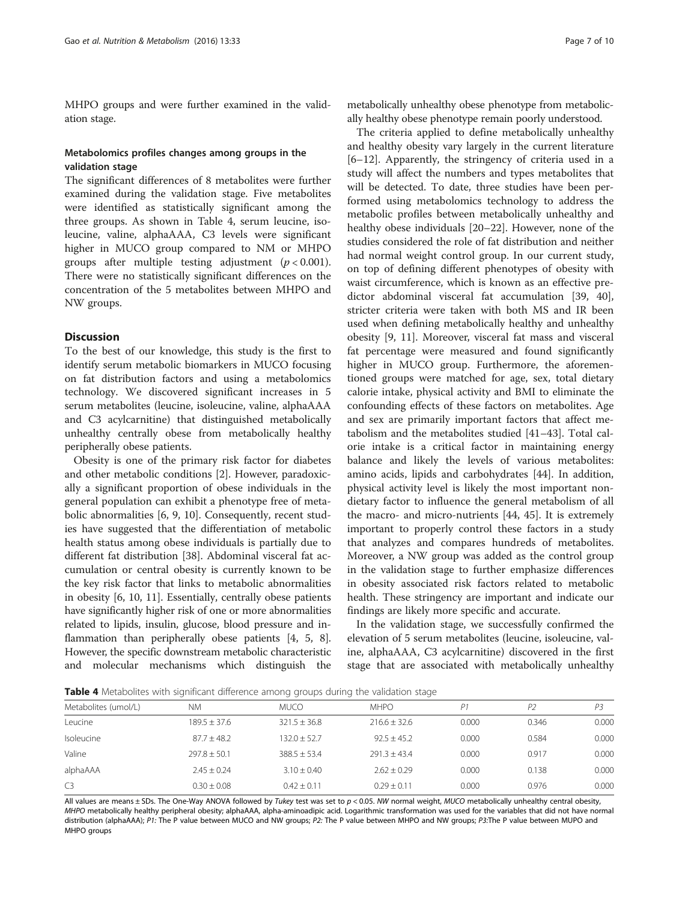MHPO groups and were further examined in the validation stage.

# Metabolomics profiles changes among groups in the validation stage

The significant differences of 8 metabolites were further examined during the validation stage. Five metabolites were identified as statistically significant among the three groups. As shown in Table 4, serum leucine, isoleucine, valine, alphaAAA, C3 levels were significant higher in MUCO group compared to NM or MHPO groups after multiple testing adjustment  $(p < 0.001)$ . There were no statistically significant differences on the concentration of the 5 metabolites between MHPO and NW groups.

#### **Discussion**

To the best of our knowledge, this study is the first to identify serum metabolic biomarkers in MUCO focusing on fat distribution factors and using a metabolomics technology. We discovered significant increases in 5 serum metabolites (leucine, isoleucine, valine, alphaAAA and C3 acylcarnitine) that distinguished metabolically unhealthy centrally obese from metabolically healthy peripherally obese patients.

Obesity is one of the primary risk factor for diabetes and other metabolic conditions [\[2](#page-8-0)]. However, paradoxically a significant proportion of obese individuals in the general population can exhibit a phenotype free of metabolic abnormalities [\[6](#page-8-0), [9](#page-8-0), [10](#page-8-0)]. Consequently, recent studies have suggested that the differentiation of metabolic health status among obese individuals is partially due to different fat distribution [[38\]](#page-9-0). Abdominal visceral fat accumulation or central obesity is currently known to be the key risk factor that links to metabolic abnormalities in obesity [[6, 10, 11\]](#page-8-0). Essentially, centrally obese patients have significantly higher risk of one or more abnormalities related to lipids, insulin, glucose, blood pressure and inflammation than peripherally obese patients [[4, 5](#page-8-0), [8](#page-8-0)]. However, the specific downstream metabolic characteristic and molecular mechanisms which distinguish the

metabolically unhealthy obese phenotype from metabolically healthy obese phenotype remain poorly understood.

The criteria applied to define metabolically unhealthy and healthy obesity vary largely in the current literature [[6](#page-8-0)–[12\]](#page-8-0). Apparently, the stringency of criteria used in a study will affect the numbers and types metabolites that will be detected. To date, three studies have been performed using metabolomics technology to address the metabolic profiles between metabolically unhealthy and healthy obese individuals [[20](#page-8-0)–[22](#page-8-0)]. However, none of the studies considered the role of fat distribution and neither had normal weight control group. In our current study, on top of defining different phenotypes of obesity with waist circumference, which is known as an effective predictor abdominal visceral fat accumulation [[39, 40](#page-9-0)], stricter criteria were taken with both MS and IR been used when defining metabolically healthy and unhealthy obesity [\[9](#page-8-0), [11](#page-8-0)]. Moreover, visceral fat mass and visceral fat percentage were measured and found significantly higher in MUCO group. Furthermore, the aforementioned groups were matched for age, sex, total dietary calorie intake, physical activity and BMI to eliminate the confounding effects of these factors on metabolites. Age and sex are primarily important factors that affect metabolism and the metabolites studied [\[41](#page-9-0)–[43\]](#page-9-0). Total calorie intake is a critical factor in maintaining energy balance and likely the levels of various metabolites: amino acids, lipids and carbohydrates [[44\]](#page-9-0). In addition, physical activity level is likely the most important nondietary factor to influence the general metabolism of all the macro- and micro-nutrients [\[44, 45\]](#page-9-0). It is extremely important to properly control these factors in a study that analyzes and compares hundreds of metabolites. Moreover, a NW group was added as the control group in the validation stage to further emphasize differences in obesity associated risk factors related to metabolic health. These stringency are important and indicate our findings are likely more specific and accurate.

In the validation stage, we successfully confirmed the elevation of 5 serum metabolites (leucine, isoleucine, valine, alphaAAA, C3 acylcarnitine) discovered in the first stage that are associated with metabolically unhealthy

Table 4 Metabolites with significant difference among groups during the validation stage

|                      |                 |                  | $\tilde{}$     |       |                |       |
|----------------------|-----------------|------------------|----------------|-------|----------------|-------|
| Metabolites (umol/L) | <b>NM</b>       | <b>MUCO</b>      | <b>MHPO</b>    | P1    | P <sub>2</sub> | P3    |
| Leucine              | $189.5 + 37.6$  | $321.5 \pm 36.8$ | $216.6 + 32.6$ | 0.000 | 0.346          | 0.000 |
| <b>Isoleucine</b>    | $87.7 + 48.2$   | $132.0 + 52.7$   | $92.5 + 45.2$  | 0.000 | 0.584          | 0.000 |
| Valine               | $797.8 + 50.1$  | $388.5 + 53.4$   | $291.3 + 43.4$ | 0.000 | 0.917          | 0.000 |
| alphaAAA             | $2.45 \pm 0.24$ | $3.10 \pm 0.40$  | $2.62 + 0.29$  | 0.000 | 0.138          | 0.000 |
| C <sub>3</sub>       | $0.30 \pm 0.08$ | $0.42 \pm 0.11$  | $0.29 + 0.11$  | 0.000 | 0.976          | 0.000 |

All values are means  $\pm$  SDs. The One-Way ANOVA followed by Tukey test was set to  $p < 0.05$ . NW normal weight, MUCO metabolically unhealthy central obesity, MHPO metabolically healthy peripheral obesity; alphaAAA, alpha-aminoadipic acid. Logarithmic transformation was used for the variables that did not have normal distribution (alphaAAA); P1: The P value between MUCO and NW groups; P2: The P value between MHPO and NW groups; P3:The P value between MUPO and MHPO groups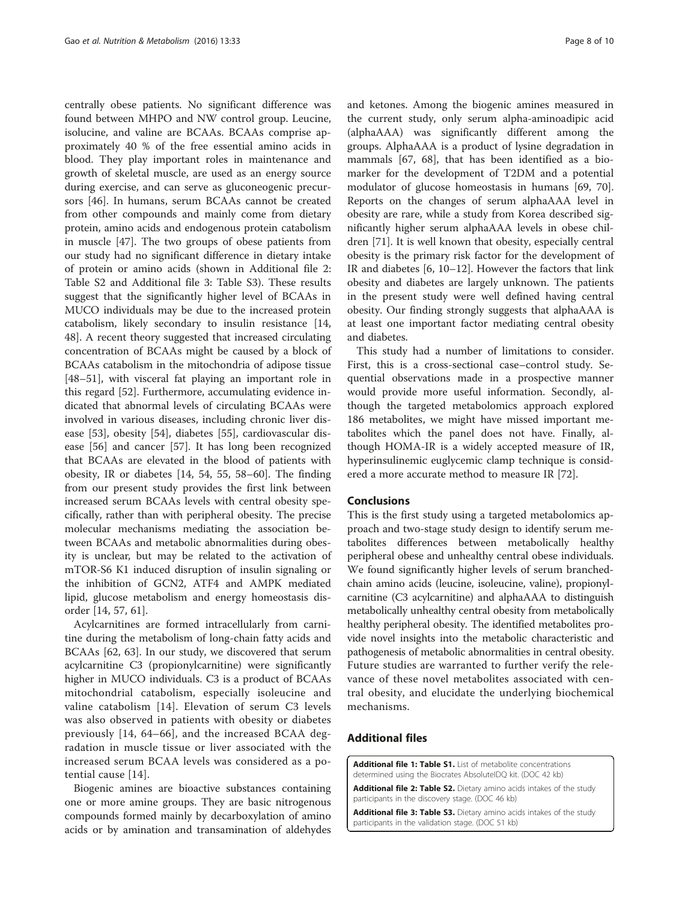<span id="page-7-0"></span>centrally obese patients. No significant difference was found between MHPO and NW control group. Leucine, isolucine, and valine are BCAAs. BCAAs comprise approximately 40 % of the free essential amino acids in blood. They play important roles in maintenance and growth of skeletal muscle, are used as an energy source during exercise, and can serve as gluconeogenic precursors [\[46](#page-9-0)]. In humans, serum BCAAs cannot be created from other compounds and mainly come from dietary protein, amino acids and endogenous protein catabolism in muscle [[47\]](#page-9-0). The two groups of obese patients from our study had no significant difference in dietary intake of protein or amino acids (shown in Additional file 2: Table S2 and Additional file 3: Table S3). These results suggest that the significantly higher level of BCAAs in MUCO individuals may be due to the increased protein catabolism, likely secondary to insulin resistance [[14](#page-8-0), [48\]](#page-9-0). A recent theory suggested that increased circulating concentration of BCAAs might be caused by a block of BCAAs catabolism in the mitochondria of adipose tissue [[48](#page-9-0)–[51](#page-9-0)], with visceral fat playing an important role in this regard [[52\]](#page-9-0). Furthermore, accumulating evidence indicated that abnormal levels of circulating BCAAs were involved in various diseases, including chronic liver disease [[53\]](#page-9-0), obesity [\[54\]](#page-9-0), diabetes [\[55\]](#page-9-0), cardiovascular disease [\[56](#page-9-0)] and cancer [\[57\]](#page-9-0). It has long been recognized that BCAAs are elevated in the blood of patients with obesity, IR or diabetes [\[14](#page-8-0), [54](#page-9-0), [55](#page-9-0), [58](#page-9-0)–[60](#page-9-0)]. The finding from our present study provides the first link between increased serum BCAAs levels with central obesity specifically, rather than with peripheral obesity. The precise molecular mechanisms mediating the association between BCAAs and metabolic abnormalities during obesity is unclear, but may be related to the activation of mTOR-S6 K1 induced disruption of insulin signaling or the inhibition of GCN2, ATF4 and AMPK mediated lipid, glucose metabolism and energy homeostasis disorder [[14,](#page-8-0) [57, 61](#page-9-0)].

Acylcarnitines are formed intracellularly from carnitine during the metabolism of long-chain fatty acids and BCAAs [[62, 63\]](#page-9-0). In our study, we discovered that serum acylcarnitine C3 (propionylcarnitine) were significantly higher in MUCO individuals. C3 is a product of BCAAs mitochondrial catabolism, especially isoleucine and valine catabolism [[14\]](#page-8-0). Elevation of serum C3 levels was also observed in patients with obesity or diabetes previously [\[14,](#page-8-0) [64](#page-9-0)–[66](#page-9-0)], and the increased BCAA degradation in muscle tissue or liver associated with the increased serum BCAA levels was considered as a potential cause [[14\]](#page-8-0).

Biogenic amines are bioactive substances containing one or more amine groups. They are basic nitrogenous compounds formed mainly by decarboxylation of amino acids or by amination and transamination of aldehydes and ketones. Among the biogenic amines measured in the current study, only serum alpha-aminoadipic acid (alphaAAA) was significantly different among the groups. AlphaAAA is a product of lysine degradation in mammals [[67, 68\]](#page-9-0), that has been identified as a biomarker for the development of T2DM and a potential modulator of glucose homeostasis in humans [[69, 70](#page-9-0)]. Reports on the changes of serum alphaAAA level in obesity are rare, while a study from Korea described significantly higher serum alphaAAA levels in obese children [[71](#page-9-0)]. It is well known that obesity, especially central obesity is the primary risk factor for the development of IR and diabetes [\[6](#page-8-0), [10](#page-8-0)–[12\]](#page-8-0). However the factors that link obesity and diabetes are largely unknown. The patients in the present study were well defined having central obesity. Our finding strongly suggests that alphaAAA is at least one important factor mediating central obesity and diabetes.

This study had a number of limitations to consider. First, this is a cross-sectional case–control study. Sequential observations made in a prospective manner would provide more useful information. Secondly, although the targeted metabolomics approach explored 186 metabolites, we might have missed important metabolites which the panel does not have. Finally, although HOMA-IR is a widely accepted measure of IR, hyperinsulinemic euglycemic clamp technique is considered a more accurate method to measure IR [\[72](#page-9-0)].

#### Conclusions

This is the first study using a targeted metabolomics approach and two-stage study design to identify serum metabolites differences between metabolically healthy peripheral obese and unhealthy central obese individuals. We found significantly higher levels of serum branchedchain amino acids (leucine, isoleucine, valine), propionylcarnitine (C3 acylcarnitine) and alphaAAA to distinguish metabolically unhealthy central obesity from metabolically healthy peripheral obesity. The identified metabolites provide novel insights into the metabolic characteristic and pathogenesis of metabolic abnormalities in central obesity. Future studies are warranted to further verify the relevance of these novel metabolites associated with central obesity, and elucidate the underlying biochemical mechanisms.

# Additional files

[Additional file 1: Table S1.](dx.doi.org/10.1186/s12986-016-0095-9) List of metabolite concentrations determined using the Biocrates AbsoluteIDQ kit. (DOC 42 kb)

[Additional file 2: Table S2.](dx.doi.org/10.1186/s12986-016-0095-9) Dietary amino acids intakes of the study participants in the discovery stage. (DOC 46 kb)

[Additional file 3: Table S3.](dx.doi.org/10.1186/s12986-016-0095-9) Dietary amino acids intakes of the study participants in the validation stage. (DOC 51 kb)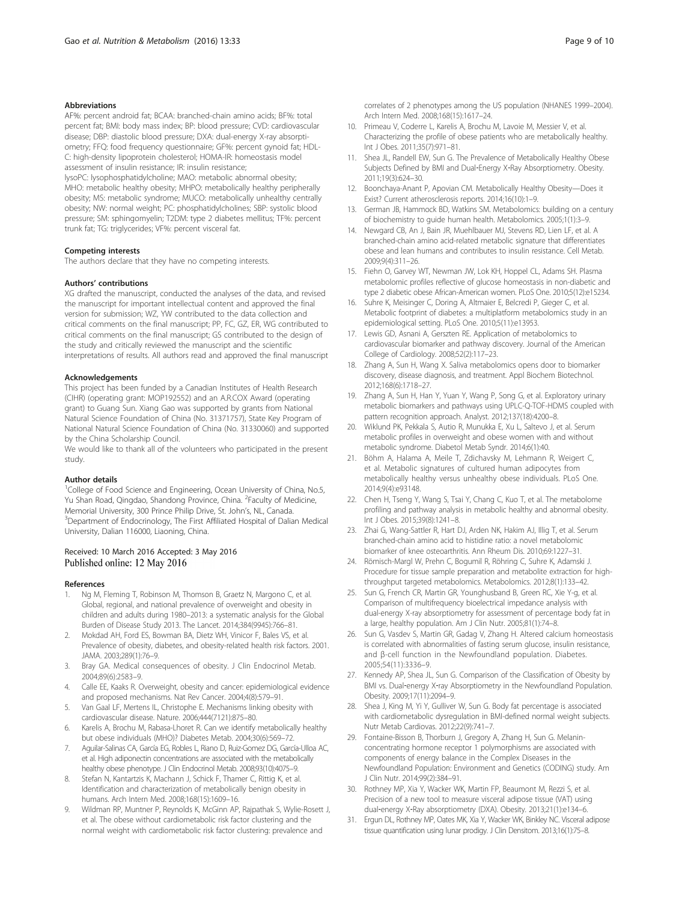#### <span id="page-8-0"></span>Abbreviations

AF%: percent android fat; BCAA: branched-chain amino acids; BF%: total percent fat; BMI: body mass index; BP: blood pressure; CVD: cardiovascular disease; DBP: diastolic blood pressure; DXA: dual-energy X-ray absorptiometry; FFQ: food frequency questionnaire; GF%: percent gynoid fat; HDL-C: high-density lipoprotein cholesterol; HOMA-IR: homeostasis model assessment of insulin resistance; IR: insulin resistance;

lysoPC: lysophosphatidylcholine; MAO: metabolic abnormal obesity; MHO: metabolic healthy obesity; MHPO: metabolically healthy peripherally obesity; MS: metabolic syndrome; MUCO: metabolically unhealthy centrally obesity; NW: normal weight; PC: phosphatidylcholines; SBP: systolic blood pressure; SM: sphingomyelin; T2DM: type 2 diabetes mellitus; TF%: percent trunk fat; TG: triglycerides; VF%: percent visceral fat.

#### Competing interests

The authors declare that they have no competing interests.

#### Authors' contributions

XG drafted the manuscript, conducted the analyses of the data, and revised the manuscript for important intellectual content and approved the final version for submission; WZ, YW contributed to the data collection and critical comments on the final manuscript; PP, FC, GZ, ER, WG contributed to critical comments on the final manuscript; GS contributed to the design of the study and critically reviewed the manuscript and the scientific interpretations of results. All authors read and approved the final manuscript

#### Acknowledgements

This project has been funded by a Canadian Institutes of Health Research (CIHR) (operating grant: MOP192552) and an A.R.COX Award (operating grant) to Guang Sun. Xiang Gao was supported by grants from National Natural Science Foundation of China (No. 31371757), State Key Program of National Natural Science Foundation of China (No. 31330060) and supported by the China Scholarship Council.

We would like to thank all of the volunteers who participated in the present study.

#### Author details

<sup>1</sup>College of Food Science and Engineering, Ocean University of China, No.5, Yu Shan Road, Qingdao, Shandong Province, China. <sup>2</sup>Faculty of Medicine, Memorial University, 300 Prince Philip Drive, St. John's, NL, Canada. <sup>3</sup> <sup>3</sup>Department of Endocrinology, The First Affiliated Hospital of Dalian Medical University, Dalian 116000, Liaoning, China.

#### Received: 10 March 2016 Accepted: 3 May 2016 Published online: 12 May 2016

#### References

- Ng M, Fleming T, Robinson M, Thomson B, Graetz N, Margono C, et al. Global, regional, and national prevalence of overweight and obesity in children and adults during 1980–2013: a systematic analysis for the Global Burden of Disease Study 2013. The Lancet. 2014;384(9945):766–81.
- 2. Mokdad AH, Ford ES, Bowman BA, Dietz WH, Vinicor F, Bales VS, et al. Prevalence of obesity, diabetes, and obesity-related health risk factors. 2001. JAMA. 2003;289(1):76–9.
- 3. Bray GA. Medical consequences of obesity. J Clin Endocrinol Metab. 2004;89(6):2583–9.
- 4. Calle EE, Kaaks R. Overweight, obesity and cancer: epidemiological evidence and proposed mechanisms. Nat Rev Cancer. 2004;4(8):579–91.
- 5. Van Gaal LF, Mertens IL, Christophe E. Mechanisms linking obesity with cardiovascular disease. Nature. 2006;444(7121):875–80.
- 6. Karelis A, Brochu M, Rabasa-Lhoret R. Can we identify metabolically healthy but obese individuals (MHO)? Diabetes Metab. 2004;30(6):569–72.
- 7. Aguilar-Salinas CA, García EG, Robles L, Riano D, Ruiz-Gomez DG, García-Ulloa AC, et al. High adiponectin concentrations are associated with the metabolically healthy obese phenotype. J Clin Endocrinol Metab. 2008;93(10):4075–9.
- 8. Stefan N, Kantartzis K, Machann J, Schick F, Thamer C, Rittig K, et al. Identification and characterization of metabolically benign obesity in humans. Arch Intern Med. 2008;168(15):1609–16.
- 9. Wildman RP, Muntner P, Reynolds K, McGinn AP, Rajpathak S, Wylie-Rosett J, et al. The obese without cardiometabolic risk factor clustering and the normal weight with cardiometabolic risk factor clustering: prevalence and

correlates of 2 phenotypes among the US population (NHANES 1999–2004). Arch Intern Med. 2008;168(15):1617–24.

- 10. Primeau V, Coderre L, Karelis A, Brochu M, Lavoie M, Messier V, et al. Characterizing the profile of obese patients who are metabolically healthy. Int J Obes. 2011;35(7):971–81.
- 11. Shea JL, Randell EW, Sun G. The Prevalence of Metabolically Healthy Obese Subjects Defined by BMI and Dual‐Energy X‐Ray Absorptiometry. Obesity. 2011;19(3):624–30.
- 12. Boonchaya-Anant P, Apovian CM. Metabolically Healthy Obesity—Does it Exist? Current atherosclerosis reports. 2014;16(10):1–9.
- 13. German JB, Hammock BD, Watkins SM. Metabolomics: building on a century of biochemistry to guide human health. Metabolomics. 2005;1(1):3–9.
- 14. Newgard CB, An J, Bain JR, Muehlbauer MJ, Stevens RD, Lien LF, et al. A branched-chain amino acid-related metabolic signature that differentiates obese and lean humans and contributes to insulin resistance. Cell Metab. 2009;9(4):311–26.
- 15. Fiehn O, Garvey WT, Newman JW, Lok KH, Hoppel CL, Adams SH. Plasma metabolomic profiles reflective of glucose homeostasis in non-diabetic and type 2 diabetic obese African-American women. PLoS One. 2010;5(12):e15234.
- 16. Suhre K, Meisinger C, Doring A, Altmaier E, Belcredi P, Gieger C, et al. Metabolic footprint of diabetes: a multiplatform metabolomics study in an epidemiological setting. PLoS One. 2010;5(11):e13953.
- 17. Lewis GD, Asnani A, Gerszten RE. Application of metabolomics to cardiovascular biomarker and pathway discovery. Journal of the American College of Cardiology. 2008;52(2):117–23.
- 18. Zhang A, Sun H, Wang X. Saliva metabolomics opens door to biomarker discovery, disease diagnosis, and treatment. Appl Biochem Biotechnol. 2012;168(6):1718–27.
- 19. Zhang A, Sun H, Han Y, Yuan Y, Wang P, Song G, et al. Exploratory urinary metabolic biomarkers and pathways using UPLC-Q-TOF-HDMS coupled with pattern recognition approach. Analyst. 2012;137(18):4200–8.
- 20. Wiklund PK, Pekkala S, Autio R, Munukka E, Xu L, Saltevo J, et al. Serum metabolic profiles in overweight and obese women with and without metabolic syndrome. Diabetol Metab Syndr. 2014;6(1):40.
- 21. Böhm A, Halama A, Meile T, Zdichavsky M, Lehmann R, Weigert C, et al. Metabolic signatures of cultured human adipocytes from metabolically healthy versus unhealthy obese individuals. PLoS One. 2014;9(4):e93148.
- 22. Chen H, Tseng Y, Wang S, Tsai Y, Chang C, Kuo T, et al. The metabolome profiling and pathway analysis in metabolic healthy and abnormal obesity. Int J Obes. 2015;39(8):1241–8.
- 23. Zhai G, Wang-Sattler R, Hart DJ, Arden NK, Hakim AJ, Illig T, et al. Serum branched-chain amino acid to histidine ratio: a novel metabolomic biomarker of knee osteoarthritis. Ann Rheum Dis. 2010;69:1227–31.
- 24. Römisch-Margl W, Prehn C, Bogumil R, Röhring C, Suhre K, Adamski J. Procedure for tissue sample preparation and metabolite extraction for highthroughput targeted metabolomics. Metabolomics. 2012;8(1):133–42.
- 25. Sun G, French CR, Martin GR, Younghusband B, Green RC, Xie Y-g, et al. Comparison of multifrequency bioelectrical impedance analysis with dual-energy X-ray absorptiometry for assessment of percentage body fat in a large, healthy population. Am J Clin Nutr. 2005;81(1):74–8.
- 26. Sun G, Vasdev S, Martin GR, Gadag V, Zhang H. Altered calcium homeostasis is correlated with abnormalities of fasting serum glucose, insulin resistance, and β-cell function in the Newfoundland population. Diabetes. 2005;54(11):3336–9.
- 27. Kennedy AP, Shea JL, Sun G. Comparison of the Classification of Obesity by BMI vs. Dual-energy X-ray Absorptiometry in the Newfoundland Population. Obesity. 2009;17(11):2094–9.
- 28. Shea J, King M, Yi Y, Gulliver W, Sun G. Body fat percentage is associated with cardiometabolic dysregulation in BMI-defined normal weight subjects. Nutr Metab Cardiovas. 2012;22(9):741–7.
- 29. Fontaine-Bisson B, Thorburn J, Gregory A, Zhang H, Sun G. Melaninconcentrating hormone receptor 1 polymorphisms are associated with components of energy balance in the Complex Diseases in the Newfoundland Population: Environment and Genetics (CODING) study. Am J Clin Nutr. 2014;99(2):384–91.
- 30. Rothney MP, Xia Y, Wacker WK, Martin FP, Beaumont M, Rezzi S, et al. Precision of a new tool to measure visceral adipose tissue (VAT) using dual‐energy X‐Ray absorptiometry (DXA). Obesity. 2013;21(1):e134–6.
- 31. Ergun DL, Rothney MP, Oates MK, Xia Y, Wacker WK, Binkley NC. Visceral adipose tissue quantification using lunar prodigy. J Clin Densitom. 2013;16(1):75–8.